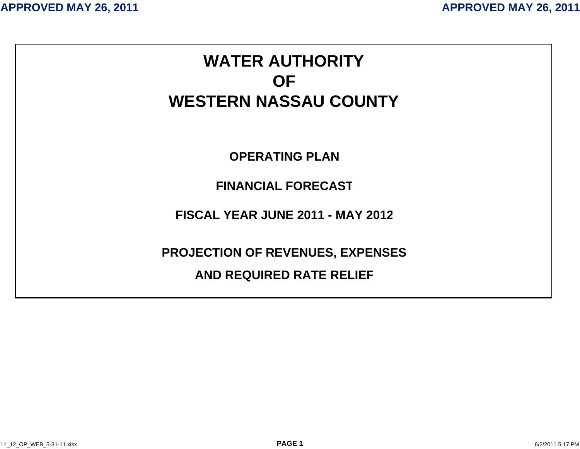# **WATER AUTHORIT Y OFWESTERN NASSAU COUNTY OPERATING PLANFINANCIAL FORECASTFISCAL YEAR JUNE 2011 - MAY 2012PROJECTION OF REVENUES, EXPENSES AND REQUIRED RATE RELIE F**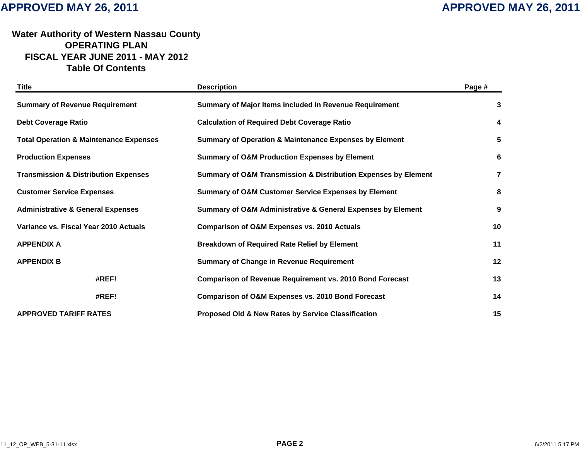### **Water Authority of Western Nassau Count y OPERATING PLANFISCAL YEAR JUNE 2011 - MAY 201 2 Table Of Contents**

| <b>Title</b>                                      | <b>Description</b>                                                            | Page #                  |
|---------------------------------------------------|-------------------------------------------------------------------------------|-------------------------|
| <b>Summary of Revenue Requirement</b>             | Summary of Major Items included in Revenue Requirement                        | 3                       |
| <b>Debt Coverage Ratio</b>                        | <b>Calculation of Required Debt Coverage Ratio</b>                            | 4                       |
| <b>Total Operation &amp; Maintenance Expenses</b> | <b>Summary of Operation &amp; Maintenance Expenses by Element</b>             | 5                       |
| <b>Production Expenses</b>                        | <b>Summary of O&amp;M Production Expenses by Element</b>                      | 6                       |
| <b>Transmission &amp; Distribution Expenses</b>   | <b>Summary of O&amp;M Transmission &amp; Distribution Expenses by Element</b> | $\overline{\mathbf{r}}$ |
| <b>Customer Service Expenses</b>                  | <b>Summary of O&amp;M Customer Service Expenses by Element</b>                | 8                       |
| <b>Administrative &amp; General Expenses</b>      | Summary of O&M Administrative & General Expenses by Element                   | 9                       |
| Variance vs. Fiscal Year 2010 Actuals             | <b>Comparison of O&amp;M Expenses vs. 2010 Actuals</b>                        | 10                      |
| <b>APPENDIX A</b>                                 | <b>Breakdown of Required Rate Relief by Element</b>                           | 11                      |
| <b>APPENDIX B</b>                                 | <b>Summary of Change in Revenue Requirement</b>                               | 12                      |
| #REF!                                             | <b>Comparison of Revenue Requirement vs. 2010 Bond Forecast</b>               | 13                      |
| #REF!                                             | <b>Comparison of O&amp;M Expenses vs. 2010 Bond Forecast</b>                  | 14                      |
| <b>APPROVED TARIFF RATES</b>                      | Proposed Old & New Rates by Service Classification                            | 15                      |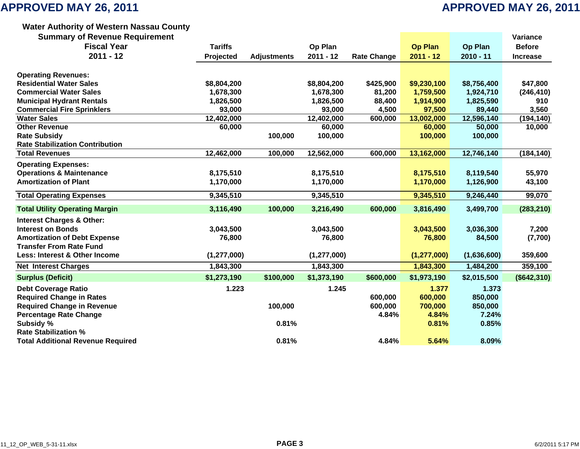### **Water Authority of Western Nassau Count y**

**Summary of Revenue Requirement Variance**

| <b>Dammary or Revenue Requirement</b>    |                |                    |               |                    |                |                | vanance         |
|------------------------------------------|----------------|--------------------|---------------|--------------------|----------------|----------------|-----------------|
| <b>Fiscal Year</b>                       | <b>Tariffs</b> |                    | Op Plan       |                    | <b>Op Plan</b> | <b>Op Plan</b> | <b>Before</b>   |
| $2011 - 12$                              | Projected      | <b>Adjustments</b> | $2011 - 12$   | <b>Rate Change</b> | $2011 - 12$    | $2010 - 11$    | <b>Increase</b> |
|                                          |                |                    |               |                    |                |                |                 |
| <b>Operating Revenues:</b>               |                |                    |               |                    |                |                |                 |
| <b>Residential Water Sales</b>           | \$8,804,200    |                    | \$8,804,200   | \$425,900          | \$9,230,100    | \$8,756,400    | \$47,800        |
| <b>Commercial Water Sales</b>            | 1,678,300      |                    | 1,678,300     | 81,200             | 1,759,500      | 1,924,710      | (246, 410)      |
| <b>Municipal Hydrant Rentals</b>         | 1,826,500      |                    | 1,826,500     | 88,400             | 1,914,900      | 1,825,590      | 910             |
| <b>Commercial Fire Sprinklers</b>        | 93,000         |                    | 93,000        | 4,500              | 97,500         | 89,440         | 3,560           |
| <b>Water Sales</b>                       | 12,402,000     |                    | 12,402,000    | 600,000            | 13,002,000     | 12,596,140     | (194, 140)      |
| <b>Other Revenue</b>                     | 60,000         |                    | 60,000        |                    | 60,000         | 50,000         | 10,000          |
| <b>Rate Subsidy</b>                      |                | 100,000            | 100,000       |                    | 100,000        | 100,000        |                 |
| <b>Rate Stabilization Contribution</b>   |                |                    |               |                    |                |                |                 |
| <b>Total Revenues</b>                    | 12,462,000     | 100,000            | 12,562,000    | 600,000            | 13,162,000     | 12,746,140     | (184, 140)      |
| <b>Operating Expenses:</b>               |                |                    |               |                    |                |                |                 |
| <b>Operations &amp; Maintenance</b>      | 8,175,510      |                    | 8,175,510     |                    | 8,175,510      | 8,119,540      | 55,970          |
| <b>Amortization of Plant</b>             | 1,170,000      |                    | 1,170,000     |                    | 1,170,000      | 1,126,900      | 43,100          |
| <b>Total Operating Expenses</b>          | 9,345,510      |                    | 9,345,510     |                    | 9,345,510      | 9,246,440      | 99,070          |
| <b>Total Utility Operating Margin</b>    | 3,116,490      | 100,000            | 3,216,490     | 600,000            | 3,816,490      | 3,499,700      | (283, 210)      |
| <b>Interest Charges &amp; Other:</b>     |                |                    |               |                    |                |                |                 |
| <b>Interest on Bonds</b>                 | 3,043,500      |                    | 3,043,500     |                    | 3,043,500      | 3,036,300      | 7,200           |
| <b>Amortization of Debt Expense</b>      | 76,800         |                    | 76,800        |                    | 76,800         | 84,500         | (7,700)         |
| <b>Transfer From Rate Fund</b>           |                |                    |               |                    |                |                |                 |
| Less: Interest & Other Income            | (1, 277, 000)  |                    | (1, 277, 000) |                    | (1, 277, 000)  | (1,636,600)    | 359,600         |
| <b>Net Interest Charges</b>              | 1,843,300      |                    | 1,843,300     |                    | 1,843,300      | 1,484,200      | 359,100         |
| <b>Surplus (Deficit)</b>                 | \$1,273,190    | \$100,000          | \$1,373,190   | \$600,000          | \$1,973,190    | \$2,015,500    | (\$642,310)     |
| <b>Debt Coverage Ratio</b>               | 1.223          |                    | 1.245         |                    | 1.377          | 1.373          |                 |
| <b>Required Change in Rates</b>          |                |                    |               | 600,000            | 600,000        | 850,000        |                 |
| <b>Required Change in Revenue</b>        |                | 100,000            |               | 600,000            | 700,000        | 850,000        |                 |
| <b>Percentage Rate Change</b>            |                |                    |               | 4.84%              | 4.84%          | 7.24%          |                 |
| Subsidy %                                |                | 0.81%              |               |                    | 0.81%          | 0.85%          |                 |
| <b>Rate Stabilization %</b>              |                |                    |               |                    |                |                |                 |
| <b>Total Additional Revenue Required</b> |                | 0.81%              |               | 4.84%              | 5.64%          | 8.09%          |                 |
|                                          |                |                    |               |                    |                |                |                 |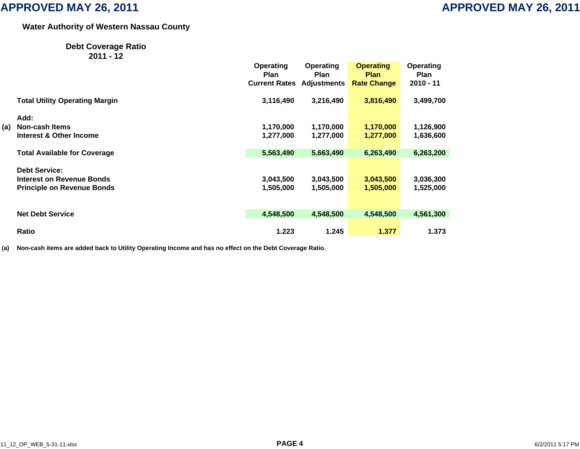### **Water Authority of Western Nassau Count y**

### **Debt Coverage Ratio 2011 - 12**

|     |                                       | <b>Operating</b><br><b>Plan</b> | Operating<br><b>Plan</b> | <b>Operating</b><br><b>Plan</b> | Operating<br><b>Plan</b> |
|-----|---------------------------------------|---------------------------------|--------------------------|---------------------------------|--------------------------|
|     |                                       | <b>Current Rates</b>            | <b>Adjustments</b>       | <b>Rate Change</b>              | $2010 - 11$              |
|     | <b>Total Utility Operating Margin</b> | 3,116,490                       | 3,216,490                | 3,816,490                       | 3,499,700                |
|     | Add:                                  |                                 |                          |                                 |                          |
| (a) | <b>Non-cash Items</b>                 | 1,170,000                       | 1,170,000                | 1,170,000                       | 1,126,900                |
|     | Interest & Other Income               | 1,277,000                       | 1,277,000                | 1,277,000                       | 1,636,600                |
|     | <b>Total Available for Coverage</b>   | 5,563,490                       | 5,663,490                | 6,263,490                       | 6,263,200                |
|     | <b>Debt Service:</b>                  |                                 |                          |                                 |                          |
|     | Interest on Revenue Bonds             | 3,043,500                       | 3,043,500                | 3,043,500                       | 3,036,300                |
|     | <b>Principle on Revenue Bonds</b>     | 1,505,000                       | 1,505,000                | 1,505,000                       | 1,525,000                |
|     | <b>Net Debt Service</b>               | 4,548,500                       | 4,548,500                | 4,548,500                       | 4,561,300                |
|     | <b>Ratio</b>                          | 1.223                           | 1.245                    | 1.377                           | 1.373                    |

**(a) Non-cash items are added back to Utility Operating Income and has no effect on the Debt Coverage Ratio.**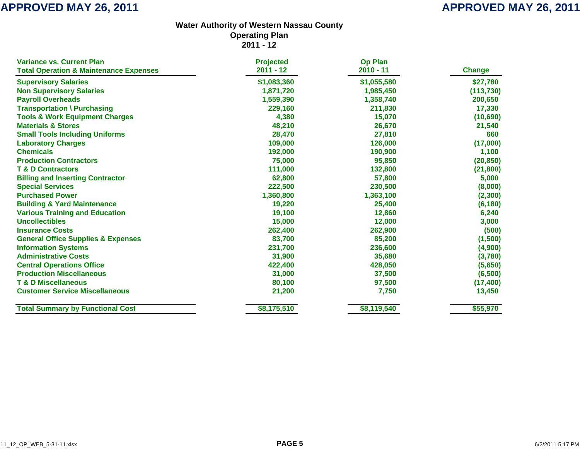| <b>Variance vs. Current Plan</b>                  | <b>Projected</b> | <b>Op Plan</b> |               |
|---------------------------------------------------|------------------|----------------|---------------|
| <b>Total Operation &amp; Maintenance Expenses</b> | $2011 - 12$      | 2010 - 11      | <b>Change</b> |
| <b>Supervisory Salaries</b>                       | \$1,083,360      | \$1,055,580    | \$27,780      |
| <b>Non Supervisory Salaries</b>                   | 1,871,720        | 1,985,450      | (113, 730)    |
| <b>Payroll Overheads</b>                          | 1,559,390        | 1,358,740      | 200,650       |
| <b>Transportation \ Purchasing</b>                | 229,160          | 211,830        | 17,330        |
| <b>Tools &amp; Work Equipment Charges</b>         | 4,380            | 15,070         | (10,690)      |
| <b>Materials &amp; Stores</b>                     | 48,210           | 26,670         | 21,540        |
| <b>Small Tools Including Uniforms</b>             | 28,470           | 27,810         | 660           |
| <b>Laboratory Charges</b>                         | 109,000          | 126,000        | (17,000)      |
| <b>Chemicals</b>                                  | 192,000          | 190,900        | 1,100         |
| <b>Production Contractors</b>                     | 75,000           | 95,850         | (20, 850)     |
| <b>T &amp; D Contractors</b>                      | 111,000          | 132,800        | (21, 800)     |
| <b>Billing and Inserting Contractor</b>           | 62,800           | 57,800         | 5,000         |
| <b>Special Services</b>                           | 222,500          | 230,500        | (8,000)       |
| <b>Purchased Power</b>                            | 1,360,800        | 1,363,100      | (2,300)       |
| <b>Building &amp; Yard Maintenance</b>            | 19,220           | 25,400         | (6, 180)      |
| <b>Various Training and Education</b>             | 19,100           | 12,860         | 6,240         |
| <b>Uncollectibles</b>                             | 15,000           | 12,000         | 3,000         |
| <b>Insurance Costs</b>                            | 262,400          | 262,900        | (500)         |
| <b>General Office Supplies &amp; Expenses</b>     | 83,700           | 85,200         | (1,500)       |
| <b>Information Systems</b>                        | 231,700          | 236,600        | (4,900)       |
| <b>Administrative Costs</b>                       | 31,900           | 35,680         | (3,780)       |
| <b>Central Operations Office</b>                  | 422,400          | 428,050        | (5,650)       |
| <b>Production Miscellaneous</b>                   | 31,000           | 37,500         | (6, 500)      |
| <b>T &amp; D Miscellaneous</b>                    | 80,100           | 97,500         | (17, 400)     |
| <b>Customer Service Miscellaneous</b>             | 21,200           | 7,750          | 13,450        |
| <b>Total Summary by Functional Cost</b>           | \$8,175,510      | \$8,119,540    | \$55,970      |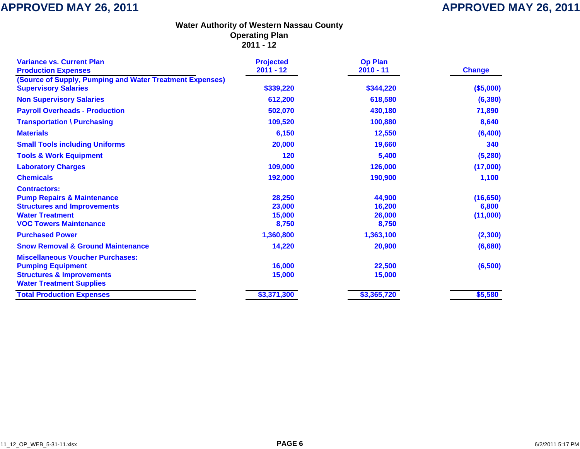| <b>Variance vs. Current Plan</b><br><b>Production Expenses</b> | <b>Projected</b><br>$2011 - 12$ | <b>Op Plan</b><br>$2010 - 11$ | <b>Change</b> |
|----------------------------------------------------------------|---------------------------------|-------------------------------|---------------|
| (Source of Supply, Pumping and Water Treatment Expenses)       |                                 |                               |               |
| <b>Supervisory Salaries</b>                                    | \$339,220                       | \$344,220                     | (\$5,000)     |
| <b>Non Supervisory Salaries</b>                                | 612,200                         | 618,580                       | (6, 380)      |
| <b>Payroll Overheads - Production</b>                          | 502,070                         | 430,180                       | 71,890        |
| <b>Transportation \ Purchasing</b>                             | 109,520                         | 100,880                       | 8,640         |
| <b>Materials</b>                                               | 6,150                           | 12,550                        | (6,400)       |
| <b>Small Tools including Uniforms</b>                          | 20,000                          | 19,660                        | 340           |
| <b>Tools &amp; Work Equipment</b>                              | 120                             | 5,400                         | (5, 280)      |
| <b>Laboratory Charges</b>                                      | 109,000                         | 126,000                       | (17,000)      |
| <b>Chemicals</b>                                               | 192,000                         | 190,900                       | 1,100         |
| <b>Contractors:</b>                                            |                                 |                               |               |
| <b>Pump Repairs &amp; Maintenance</b>                          | 28,250                          | 44,900                        | (16, 650)     |
| <b>Structures and Improvements</b>                             | 23,000                          | 16,200                        | 6,800         |
| <b>Water Treatment</b>                                         | 15,000                          | 26,000                        | (11,000)      |
| <b>VOC Towers Maintenance</b>                                  | 8,750                           | 8,750                         |               |
| <b>Purchased Power</b>                                         | 1,360,800                       | 1,363,100                     | (2, 300)      |
| <b>Snow Removal &amp; Ground Maintenance</b>                   | 14,220                          | 20,900                        | (6,680)       |
| <b>Miscellaneous Voucher Purchases:</b>                        |                                 |                               |               |
| <b>Pumping Equipment</b>                                       | 16,000                          | 22,500                        | (6,500)       |
| <b>Structures &amp; Improvements</b>                           | 15,000                          | 15,000                        |               |
| <b>Water Treatment Supplies</b>                                |                                 |                               |               |
| <b>Total Production Expenses</b>                               | \$3,371,300                     | \$3,365,720                   | \$5,580       |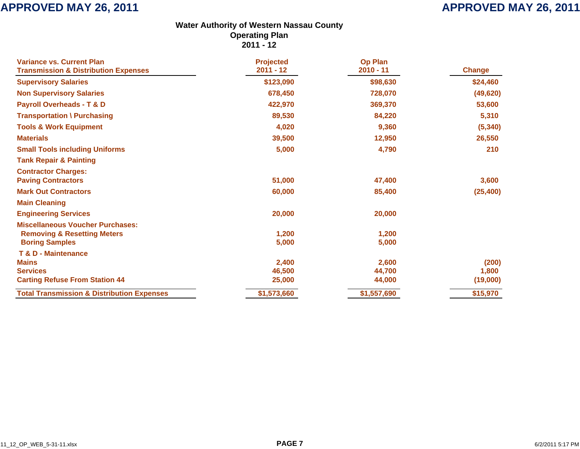| <b>Variance vs. Current Plan</b><br><b>Transmission &amp; Distribution Expenses</b> | <b>Projected</b><br>$2011 - 12$ | <b>Op Plan</b><br>$2010 - 11$ | <b>Change</b> |
|-------------------------------------------------------------------------------------|---------------------------------|-------------------------------|---------------|
| <b>Supervisory Salaries</b>                                                         | \$123,090                       | \$98,630                      | \$24,460      |
|                                                                                     |                                 |                               |               |
| <b>Non Supervisory Salaries</b>                                                     | 678,450                         | 728,070                       | (49, 620)     |
| <b>Payroll Overheads - T &amp; D</b>                                                | 422,970                         | 369,370                       | 53,600        |
| <b>Transportation \ Purchasing</b>                                                  | 89,530                          | 84,220                        | 5,310         |
| <b>Tools &amp; Work Equipment</b>                                                   | 4,020                           | 9,360                         | (5, 340)      |
| <b>Materials</b>                                                                    | 39,500                          | 12,950                        | 26,550        |
| <b>Small Tools including Uniforms</b>                                               | 5,000                           | 4,790                         | 210           |
| <b>Tank Repair &amp; Painting</b>                                                   |                                 |                               |               |
| <b>Contractor Charges:</b>                                                          |                                 |                               |               |
| <b>Paving Contractors</b>                                                           | 51,000                          | 47,400                        | 3,600         |
| <b>Mark Out Contractors</b>                                                         | 60,000                          | 85,400                        | (25, 400)     |
| <b>Main Cleaning</b>                                                                |                                 |                               |               |
| <b>Engineering Services</b>                                                         | 20,000                          | 20,000                        |               |
| <b>Miscellaneous Voucher Purchases:</b>                                             |                                 |                               |               |
| <b>Removing &amp; Resetting Meters</b>                                              | 1,200                           | 1,200                         |               |
| <b>Boring Samples</b>                                                               | 5,000                           | 5,000                         |               |
| T & D - Maintenance                                                                 |                                 |                               |               |
| <b>Mains</b>                                                                        | 2,400                           | 2,600                         | (200)         |
| <b>Services</b>                                                                     | 46,500                          | 44,700                        | 1,800         |
| <b>Carting Refuse From Station 44</b>                                               | 25,000                          | 44,000                        | (19,000)      |
| <b>Total Transmission &amp; Distribution Expenses</b>                               | \$1,573,660                     | \$1,557,690                   | \$15,970      |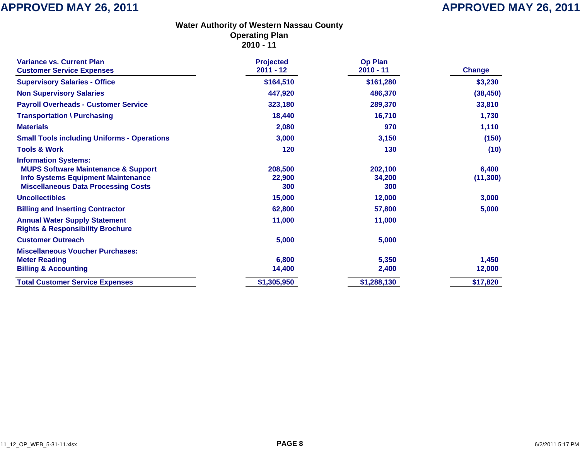| <b>Variance vs. Current Plan</b><br><b>Customer Service Expenses</b>                                                                                                     | <b>Projected</b><br>$2011 - 12$ | <b>Op Plan</b><br>$2010 - 11$ | <b>Change</b>      |
|--------------------------------------------------------------------------------------------------------------------------------------------------------------------------|---------------------------------|-------------------------------|--------------------|
| <b>Supervisory Salaries - Office</b>                                                                                                                                     | \$164,510                       | \$161,280                     | \$3,230            |
|                                                                                                                                                                          |                                 |                               |                    |
| <b>Non Supervisory Salaries</b>                                                                                                                                          | 447,920                         | 486,370                       | (38, 450)          |
| <b>Payroll Overheads - Customer Service</b>                                                                                                                              | 323,180                         | 289,370                       | 33,810             |
| <b>Transportation \ Purchasing</b>                                                                                                                                       | 18,440                          | 16,710                        | 1,730              |
| <b>Materials</b>                                                                                                                                                         | 2,080                           | 970                           | 1,110              |
| <b>Small Tools including Uniforms - Operations</b>                                                                                                                       | 3,000                           | 3,150                         | (150)              |
| <b>Tools &amp; Work</b>                                                                                                                                                  | 120                             | 130                           | (10)               |
| <b>Information Systems:</b><br><b>MUPS Software Maintenance &amp; Support</b><br><b>Info Systems Equipment Maintenance</b><br><b>Miscellaneous Data Processing Costs</b> | 208,500<br>22,900<br>300        | 202,100<br>34,200<br>300      | 6,400<br>(11, 300) |
| <b>Uncollectibles</b>                                                                                                                                                    | 15,000                          | 12,000                        | 3,000              |
| <b>Billing and Inserting Contractor</b>                                                                                                                                  | 62,800                          | 57,800                        | 5,000              |
| <b>Annual Water Supply Statement</b><br><b>Rights &amp; Responsibility Brochure</b>                                                                                      | 11,000                          | 11,000                        |                    |
| <b>Customer Outreach</b>                                                                                                                                                 | 5,000                           | 5,000                         |                    |
| <b>Miscellaneous Voucher Purchases:</b><br><b>Meter Reading</b><br><b>Billing &amp; Accounting</b>                                                                       | 6,800<br>14,400                 | 5,350<br>2,400                | 1,450<br>12,000    |
| <b>Total Customer Service Expenses</b>                                                                                                                                   | \$1,305,950                     | \$1,288,130                   | \$17,820           |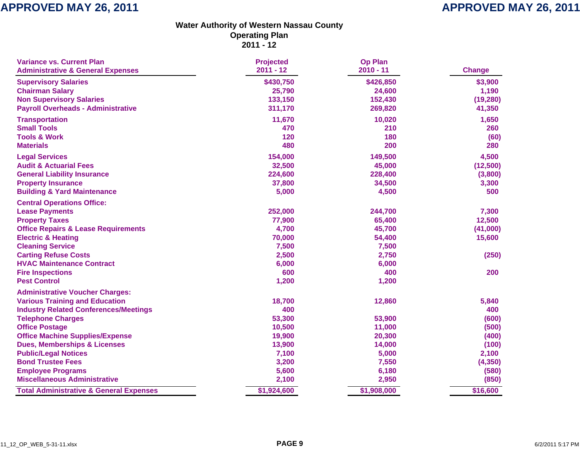| <b>Variance vs. Current Plan</b><br><b>Administrative &amp; General Expenses</b> | <b>Projected</b><br>$2011 - 12$ | <b>Op Plan</b><br>$2010 - 11$ | <b>Change</b> |
|----------------------------------------------------------------------------------|---------------------------------|-------------------------------|---------------|
| <b>Supervisory Salaries</b>                                                      | \$430,750                       | \$426,850                     | \$3,900       |
| <b>Chairman Salary</b>                                                           | 25,790                          | 24,600                        | 1,190         |
| <b>Non Supervisory Salaries</b>                                                  | 133,150                         | 152,430                       | (19, 280)     |
| <b>Payroll Overheads - Administrative</b>                                        | 311,170                         | 269,820                       | 41,350        |
| <b>Transportation</b>                                                            | 11,670                          | 10,020                        | 1,650         |
| <b>Small Tools</b>                                                               | 470                             | 210                           | 260           |
| <b>Tools &amp; Work</b>                                                          | 120                             | 180                           | (60)          |
| <b>Materials</b>                                                                 | 480                             | 200                           | 280           |
| <b>Legal Services</b>                                                            | 154,000                         | 149,500                       | 4,500         |
| <b>Audit &amp; Actuarial Fees</b>                                                | 32,500                          | 45,000                        | (12,500)      |
| <b>General Liability Insurance</b>                                               | 224,600                         | 228,400                       | (3,800)       |
| <b>Property Insurance</b>                                                        | 37,800                          | 34,500                        | 3,300         |
| <b>Building &amp; Yard Maintenance</b>                                           | 5,000                           | 4,500                         | 500           |
| <b>Central Operations Office:</b>                                                |                                 |                               |               |
| <b>Lease Payments</b>                                                            | 252,000                         | 244,700                       | 7,300         |
| <b>Property Taxes</b>                                                            | 77,900                          | 65,400                        | 12,500        |
| <b>Office Repairs &amp; Lease Requirements</b>                                   | 4,700                           | 45,700                        | (41,000)      |
| <b>Electric &amp; Heating</b>                                                    | 70,000                          | 54,400                        | 15,600        |
| <b>Cleaning Service</b>                                                          | 7,500                           | 7,500                         |               |
| <b>Carting Refuse Costs</b>                                                      | 2,500                           | 2,750                         | (250)         |
| <b>HVAC Maintenance Contract</b>                                                 | 6,000                           | 6,000                         |               |
| <b>Fire Inspections</b>                                                          | 600                             | 400                           | 200           |
| <b>Pest Control</b>                                                              | 1,200                           | 1,200                         |               |
| <b>Administrative Voucher Charges:</b>                                           |                                 |                               |               |
| <b>Various Training and Education</b>                                            | 18,700                          | 12,860                        | 5,840         |
| <b>Industry Related Conferences/Meetings</b>                                     | 400                             |                               | 400           |
| <b>Telephone Charges</b>                                                         | 53,300                          | 53,900                        | (600)         |
| <b>Office Postage</b>                                                            | 10,500                          | 11,000                        | (500)         |
| <b>Office Machine Supplies/Expense</b>                                           | 19,900                          | 20,300                        | (400)         |
| <b>Dues, Memberships &amp; Licenses</b>                                          | 13,900                          | 14,000                        | (100)         |
| <b>Public/Legal Notices</b>                                                      | 7,100                           | 5,000                         | 2,100         |
| <b>Bond Trustee Fees</b>                                                         | 3,200                           | 7,550                         | (4, 350)      |
| <b>Employee Programs</b>                                                         | 5,600                           | 6,180                         | (580)         |
| <b>Miscellaneous Administrative</b>                                              | 2,100                           | 2,950                         | (850)         |
| <b>Total Administrative &amp; General Expenses</b>                               | \$1,924,600                     | \$1,908,000                   | \$16,600      |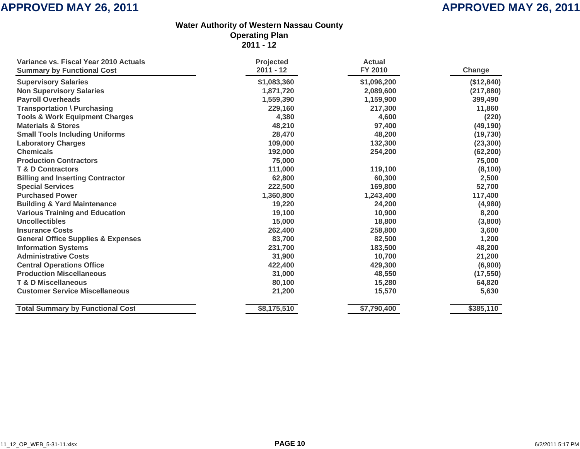| Variance vs. Fiscal Year 2010 Actuals         | <b>Projected</b> | <b>Actual</b> |            |
|-----------------------------------------------|------------------|---------------|------------|
| <b>Summary by Functional Cost</b>             | $2011 - 12$      | FY 2010       | Change     |
| <b>Supervisory Salaries</b>                   | \$1,083,360      | \$1,096,200   | (\$12,840) |
| <b>Non Supervisory Salaries</b>               | 1,871,720        | 2,089,600     | (217, 880) |
| <b>Payroll Overheads</b>                      | 1,559,390        | 1,159,900     | 399,490    |
| Transportation \ Purchasing                   | 229,160          | 217,300       | 11,860     |
| <b>Tools &amp; Work Equipment Charges</b>     | 4,380            | 4,600         | (220)      |
| <b>Materials &amp; Stores</b>                 | 48,210           | 97,400        | (49, 190)  |
| <b>Small Tools Including Uniforms</b>         | 28,470           | 48,200        | (19, 730)  |
| <b>Laboratory Charges</b>                     | 109,000          | 132,300       | (23, 300)  |
| <b>Chemicals</b>                              | 192,000          | 254,200       | (62, 200)  |
| <b>Production Contractors</b>                 | 75,000           |               | 75,000     |
| <b>T &amp; D Contractors</b>                  | 111,000          | 119,100       | (8, 100)   |
| <b>Billing and Inserting Contractor</b>       | 62,800           | 60,300        | 2,500      |
| <b>Special Services</b>                       | 222,500          | 169,800       | 52,700     |
| <b>Purchased Power</b>                        | 1,360,800        | 1,243,400     | 117,400    |
| <b>Building &amp; Yard Maintenance</b>        | 19,220           | 24,200        | (4,980)    |
| <b>Various Training and Education</b>         | 19,100           | 10,900        | 8,200      |
| <b>Uncollectibles</b>                         | 15,000           | 18,800        | (3,800)    |
| <b>Insurance Costs</b>                        | 262,400          | 258,800       | 3,600      |
| <b>General Office Supplies &amp; Expenses</b> | 83,700           | 82,500        | 1,200      |
| <b>Information Systems</b>                    | 231,700          | 183,500       | 48,200     |
| <b>Administrative Costs</b>                   | 31,900           | 10,700        | 21,200     |
| <b>Central Operations Office</b>              | 422,400          | 429,300       | (6,900)    |
| <b>Production Miscellaneous</b>               | 31,000           | 48,550        | (17, 550)  |
| <b>T &amp; D Miscellaneous</b>                | 80,100           | 15,280        | 64,820     |
| <b>Customer Service Miscellaneous</b>         | 21,200           | 15,570        | 5,630      |
| <b>Total Summary by Functional Cost</b>       | \$8,175,510      | \$7,790,400   | \$385,110  |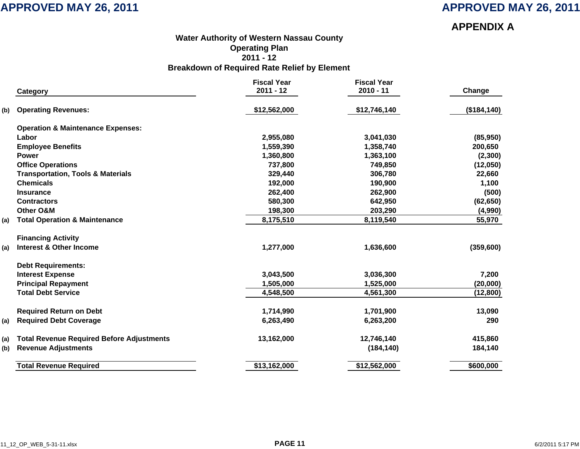**APPENDIX A**

### **Water Authority of Western Nassau Count y Operating Plan 2011 - 12Breakdown of Required Rate Relief by Element**

|     | Category                                         | <b>Fiscal Year</b><br>$2011 - 12$ | <b>Fiscal Year</b><br>$2010 - 11$ | Change       |
|-----|--------------------------------------------------|-----------------------------------|-----------------------------------|--------------|
|     |                                                  |                                   |                                   |              |
| (b) | <b>Operating Revenues:</b>                       | \$12,562,000                      | \$12,746,140                      | (\$184, 140) |
|     | <b>Operation &amp; Maintenance Expenses:</b>     |                                   |                                   |              |
|     | Labor                                            | 2,955,080                         | 3,041,030                         | (85,950)     |
|     | <b>Employee Benefits</b>                         | 1,559,390                         | 1,358,740                         | 200,650      |
|     | <b>Power</b>                                     | 1,360,800                         | 1,363,100                         | (2,300)      |
|     | <b>Office Operations</b>                         | 737,800                           | 749,850                           | (12,050)     |
|     | <b>Transportation, Tools &amp; Materials</b>     | 329,440                           | 306,780                           | 22,660       |
|     | <b>Chemicals</b>                                 | 192,000                           | 190,900                           | 1,100        |
|     | <b>Insurance</b>                                 | 262,400                           | 262,900                           | (500)        |
|     | <b>Contractors</b>                               | 580,300                           | 642,950                           | (62, 650)    |
|     | Other O&M                                        | 198,300                           | 203,290                           | (4,990)      |
| (a) | <b>Total Operation &amp; Maintenance</b>         | 8,175,510                         | 8,119,540                         | 55,970       |
|     | <b>Financing Activity</b>                        |                                   |                                   |              |
| (a) | <b>Interest &amp; Other Income</b>               | 1,277,000                         | 1,636,600                         | (359, 600)   |
|     | <b>Debt Requirements:</b>                        |                                   |                                   |              |
|     | <b>Interest Expense</b>                          | 3,043,500                         | 3,036,300                         | 7,200        |
|     | <b>Principal Repayment</b>                       | 1,505,000                         | 1,525,000                         | (20,000)     |
|     | <b>Total Debt Service</b>                        | 4,548,500                         | 4,561,300                         | (12, 800)    |
|     | <b>Required Return on Debt</b>                   | 1,714,990                         | 1,701,900                         | 13,090       |
| (a) | <b>Required Debt Coverage</b>                    | 6,263,490                         | 6,263,200                         | 290          |
| (a) | <b>Total Revenue Required Before Adjustments</b> | 13,162,000                        | 12,746,140                        | 415,860      |
| (b) | <b>Revenue Adjustments</b>                       |                                   | (184, 140)                        | 184,140      |
|     | <b>Total Revenue Required</b>                    | \$13,162,000                      | \$12,562,000                      | \$600,000    |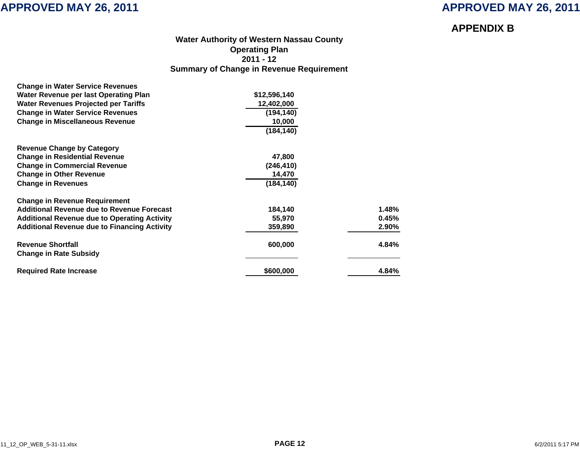### **APPENDIX B**

### **Water Authority of Western Nassau Count y Operating Plan 2011 - 12 Summary of Change in Revenue Requirement**

| <b>Change in Water Service Revenues</b>             |              |       |
|-----------------------------------------------------|--------------|-------|
| Water Revenue per last Operating Plan               | \$12,596,140 |       |
| <b>Water Revenues Projected per Tariffs</b>         | 12,402,000   |       |
| <b>Change in Water Service Revenues</b>             | (194, 140)   |       |
| <b>Change in Miscellaneous Revenue</b>              | 10,000       |       |
|                                                     | (184, 140)   |       |
| <b>Revenue Change by Category</b>                   |              |       |
| <b>Change in Residential Revenue</b>                | 47,800       |       |
| <b>Change in Commercial Revenue</b>                 | (246, 410)   |       |
| <b>Change in Other Revenue</b>                      | 14,470       |       |
| <b>Change in Revenues</b>                           | (184, 140)   |       |
| <b>Change in Revenue Requirement</b>                |              |       |
| <b>Additional Revenue due to Revenue Forecast</b>   | 184,140      | 1.48% |
| <b>Additional Revenue due to Operating Activity</b> | 55,970       | 0.45% |
| <b>Additional Revenue due to Financing Activity</b> | 359,890      | 2.90% |
| <b>Revenue Shortfall</b>                            | 600,000      | 4.84% |
| <b>Change in Rate Subsidy</b>                       |              |       |
| <b>Required Rate Increase</b>                       | \$600,000    | 4.84% |